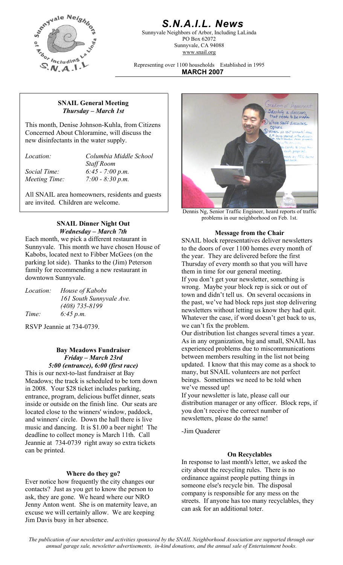

# *S.N.A.I.L. News*

Sunnyvale Neighbors of Arbor, Including LaLinda PO Box 62072 Sunnyvale, CA 94088 www.snail.org

Representing over 1100 households Established in 1995 **MARCH 2007**

#### **SNAIL General Meeting**  *Thursday – March 1st*

This month, Denise Johnson-Kuhla, from Citizens Concerned About Chloramine, will discuss the new disinfectants in the water supply.

*Location: Columbia Middle School Staff Room Social Time: 6:45 - 7:00 p.m. Meeting Time: 7:00 - 8:30 p.m.* 

All SNAIL area homeowners, residents and guests are invited. Children are welcome.

# **SNAIL Dinner Night Out**

Each month, we pick a different restaurant in Sunnyvale. This month we have chosen House of Kabobs, located next to Fibber McGees (on the parking lot side). Thanks to the (Jim) Peterson family for recommending a new restaurant in downtown Sunnyvale.

| <i>Location:</i> | House of Kabobs          |
|------------------|--------------------------|
|                  | 161 South Sunnyvale Ave. |
|                  | $(408)$ 735-8199         |
| Time:            | 6:45 p.m.                |

RSVP Jeannie at 734-0739.

#### **Bay Meadows Fundraiser**  *Friday – March 23rd 5:00 (entrance), 6:00 (first race)*

This is our next-to-last fundraiser at Bay Meadows; the track is scheduled to be torn down in 2008. Your \$28 ticket includes parking, entrance, program, delicious buffet dinner, seats inside or outside on the finish line. Our seats are located close to the winners' window, paddock, and winners' circle. Down the hall there is live music and dancing. It is \$1.00 a beer night! The deadline to collect money is March 11th. Call Jeannie at 734-0739 right away so extra tickets can be printed.

#### **Where do they go?**

Ever notice how frequently the city changes our contacts? Just as you get to know the person to ask, they are gone. We heard where our NRO Jenny Anton went. She is on maternity leave, an excuse we will certainly allow. We are keeping Jim Davis busy in her absence.



Dennis Ng, Senior Traffic Engineer, heard reports of traffic problems in our neighborhood on Feb. 1st.

#### *Wednesday – March 7th* **Message from the Chair Message from the Chair**

SNAIL block representatives deliver newsletters to the doors of over 1100 homes every month of the year. They are delivered before the first Thursday of every month so that you will have them in time for our general meeting. If you don't get your newsletter, something is wrong. Maybe your block rep is sick or out of town and didn't tell us. On several occasions in the past, we've had block reps just stop delivering newsletters without letting us know they had quit. Whatever the case, if word doesn't get back to us, we can't fix the problem.

Our distribution list changes several times a year. As in any organization, big and small, SNAIL has experienced problems due to miscommunications between members resulting in the list not being updated. I know that this may come as a shock to many, but SNAIL volunteers are not perfect beings. Sometimes we need to be told when we've messed up!

If your newsletter is late, please call our distribution manager or any officer. Block reps, if you don't receive the correct number of newsletters, please do the same!

-Jim Quaderer

#### **On Recyclables**

In response to last month's letter, we asked the city about the recycling rules. There is no ordinance against people putting things in someone else's recycle bin. The disposal company is responsible for any mess on the streets. If anyone has too many recyclables, they can ask for an additional toter.

*The publication of our newsletter and activities sponsored by the SNAIL Neighborhood Association are supported through our annual garage sale, newsletter advertisements, in-kind donations, and the annual sale of Entertainment books.*